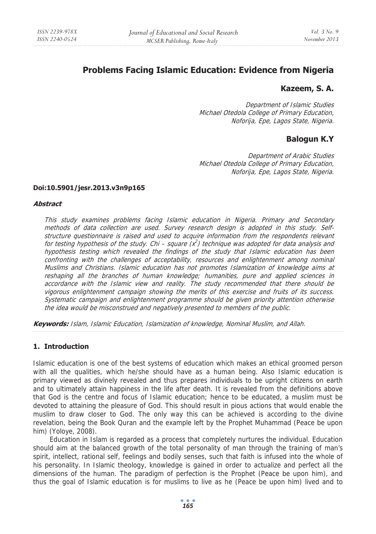# **Problems Facing Islamic Education: Evidence from Nigeria**

# **Kazeem, S. A.**

Department of Islamic Studies Michael Otedola College of Primary Education, Noforija, Epe, Lagos State, Nigeria.

# **Balogun K.Y**

Department of Arabic Studies Michael Otedola College of Primary Education, Noforija, Epe, Lagos State, Nigeria.

## **Doi:10.5901/jesr.2013.v3n9p165**

#### **Abstract**

This study examines problems facing Islamic education in Nigeria. Primary and Secondary methods of data collection are used. Survey research design is adopted in this study. Selfstructure questionnaire is raised and used to acquire information from the respondents relevant for testing hypothesis of the study. Chi – square  $(x^2)$  technique was adopted for data analysis and hypothesis testing which revealed the findings of the study that Islamic education has been confronting with the challenges of acceptability, resources and enlightenment among nominal Muslims and Christians. Islamic education has not promotes Islamization of knowledge aims at reshaping all the branches of human knowledge; humanities, pure and applied sciences in accordance with the Islamic view and reality. The study recommended that there should be vigorous enlightenment campaign showing the merits of this exercise and fruits of its success. Systematic campaign and enlightenment programme should be given priority attention otherwise the idea would be misconstrued and negatively presented to members of the public.

**Keywords:** Islam, Islamic Education, Islamization of knowledge, Nominal Muslim, and Allah.

#### **1. Introduction**

Islamic education is one of the best systems of education which makes an ethical groomed person with all the qualities, which he/she should have as a human being. Also Islamic education is primary viewed as divinely revealed and thus prepares individuals to be upright citizens on earth and to ultimately attain happiness in the life after death. It is revealed from the definitions above that God is the centre and focus of Islamic education; hence to be educated, a muslim must be devoted to attaining the pleasure of God. This should result in pious actions that would enable the muslim to draw closer to God. The only way this can be achieved is according to the divine revelation, being the Book Quran and the example left by the Prophet Muhammad (Peace be upon him) (Yoloye, 2008).

Education in Islam is regarded as a process that completely nurtures the individual. Education should aim at the balanced growth of the total personality of man through the training of man's spirit, intellect, rational self, feelings and bodily senses, such that faith is infused into the whole of his personality. In Islamic theology, knowledge is gained in order to actualize and perfect all the dimensions of the human. The paradigm of perfection is the Prophet (Peace be upon him), and thus the goal of Islamic education is for muslims to live as he (Peace be upon him) lived and to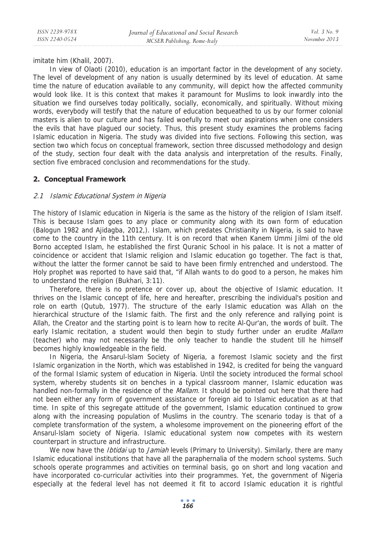imitate him (Khalil, 2007).

In view of Olaoti (2010), education is an important factor in the development of any society. The level of development of any nation is usually determined by its level of education. At same time the nature of education available to any community, will depict how the affected community would look like. It is this context that makes it paramount for Muslims to look inwardly into the situation we find ourselves today politically, socially, economically, and spiritually. Without mixing words, everybody will testify that the nature of education bequeathed to us by our former colonial masters is alien to our culture and has failed woefully to meet our aspirations when one considers the evils that have plagued our society. Thus, this present study examines the problems facing Islamic education in Nigeria. The study was divided into five sections. Following this section, was section two which focus on conceptual framework, section three discussed methodology and design of the study, section four dealt with the data analysis and interpretation of the results. Finally, section five embraced conclusion and recommendations for the study.

## **2. Conceptual Framework**

#### 2.1 Islamic Educational System in Nigeria

The history of Islamic education in Nigeria is the same as the history of the religion of Islam itself. This is because Islam goes to any place or community along with its own form of education (Balogun 1982 and Ajidagba, 2012,). Islam, which predates Christianity in Nigeria, is said to have come to the country in the 11th century. It is on record that when Kanem Ummi Jilmi of the old Borno accepted Islam, he established the first Quranic School in his palace. It is not a matter of coincidence or accident that Islamic religion and Islamic education go together. The fact is that, without the latter the former cannot be said to have been firmly entrenched and understood. The Holy prophet was reported to have said that, "if Allah wants to do good to a person, he makes him to understand the religion (Bukhari, 3:11).

Therefore, there is no pretence or cover up, about the objective of Islamic education. It thrives on the Islamic concept of life, here and hereafter, prescribing the individual's position and role on earth (Qutub, 1977). The structure of the early Islamic education was Allah on the hierarchical structure of the Islamic faith. The first and the only reference and rallying point is Allah, the Creator and the starting point is to learn how to recite Al-Qur'an, the words of built. The early Islamic recitation, a student would then begin to study further under an erudite Mallam (teacher) who may not necessarily be the only teacher to handle the student till he himself becomes highly knowledgeable in the field.

In Nigeria, the Ansarul-lslam Society of Nigeria, a foremost Islamic society and the first Islamic organization in the North, which was established in 1942, is credited for being the vanguard of the formal Islamic system of education in Nigeria. Until the society introduced the formal school system, whereby students sit on benches in a typical classroom manner, Islamic education was handled non-formally in the residence of the *Mallam*. It should be pointed out here that there had not been either any form of government assistance or foreign aid to Islamic education as at that time. In spite of this segregate attitude of the government, Islamic education continued to grow along with the increasing population of Muslims in the country. The scenario today is that of a complete transformation of the system, a wholesome improvement on the pioneering effort of the Ansarul-lslam society of Nigeria. Islamic educational system now competes with its western counterpart in structure and infrastructure.

We now have the *Ibtidai* up to *Jamiah* levels (Primary to University). Similarly, there are many Islamic educational institutions that have all the paraphernalia of the modern school systems. Such schools operate programmes and activities on terminal basis, go on short and long vacation and have incorporated co-curricular activities into their programmes. Yet, the government of Nigeria especially at the federal level has not deemed it fit to accord Islamic education it is rightful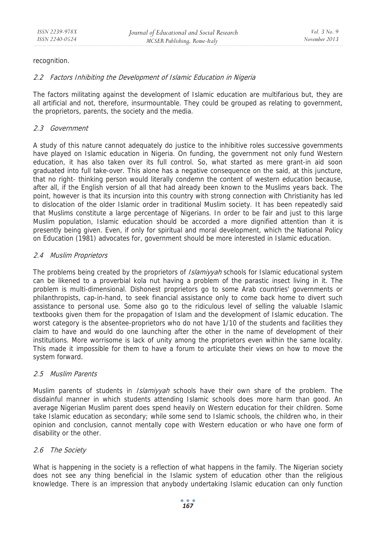#### recognition.

### 2.2 Factors Inhibiting the Development of Islamic Education in Nigeria

The factors militating against the development of Islamic education are multifarious but, they are all artificial and not, therefore, insurmountable. They could be grouped as relating to government, the proprietors, parents, the society and the media.

#### 2.3 Government

A study of this nature cannot adequately do justice to the inhibitive roles successive governments have played on Islamic education in Nigeria. On funding, the government not only fund Western education, it has also taken over its full control. So, what started as mere grant-in aid soon graduated into full take-over. This alone has a negative consequence on the said, at this juncture, that no right- thinking person would literally condemn the content of western education because, after all, if the English version of all that had already been known to the Muslims years back. The point, however is that its incursion into this country with strong connection with Christianity has led to dislocation of the older Islamic order in traditional Muslim society. It has been repeatedly said that Muslims constitute a large percentage of Nigerians. In order to be fair and just to this large Muslim population, Islamic education should be accorded a more dignified attention than it is presently being given. Even, if only for spiritual and moral development, which the National Policy on Education (1981) advocates for, government should be more interested in Islamic education.

#### 2.4 Muslim Proprietors

The problems being created by the proprietors of Islamiyyah schools for Islamic educational system can be likened to a proverbial kola nut having a problem of the parastic insect living in it. The problem is multi-dimensional. Dishonest proprietors go to some Arab countries' governments or philanthropists, cap-in-hand, to seek financial assistance only to come back home to divert such assistance to personal use. Some also go to the ridiculous level of selling the valuable Islamic textbooks given them for the propagation of Islam and the development of Islamic education. The worst category is the absentee-proprietors who do not have 1/10 of the students and facilities they claim to have and would do one launching after the other in the name of development of their institutions. More worrisome is lack of unity among the proprietors even within the same locality. This made it impossible for them to have a forum to articulate their views on how to move the system forward.

#### 2.5 Muslim Parents

Muslim parents of students in *Islamiyyah* schools have their own share of the problem. The disdainful manner in which students attending Islamic schools does more harm than good. An average Nigerian Muslim parent does spend heavily on Western education for their children. Some take Islamic education as secondary; while some send to Islamic schools, the children who, in their opinion and conclusion, cannot mentally cope with Western education or who have one form of disability or the other.

# 2.6 The Society

What is happening in the society is a reflection of what happens in the family. The Nigerian society does not see any thing beneficial in the Islamic system of education other than the religious knowledge. There is an impression that anybody undertaking Islamic education can only function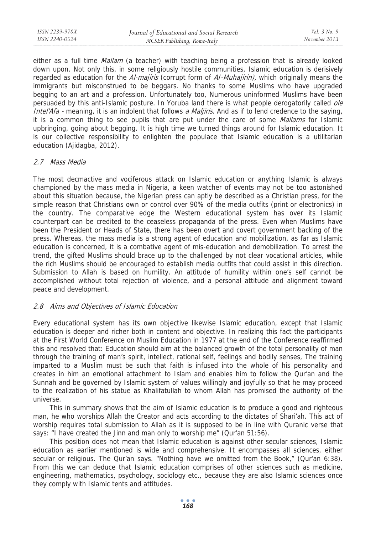either as a full time *Mallam* (a teacher) with teaching being a profession that is already looked down upon. Not only this, in some religiously hostile communities, Islamic education is derisively regarded as education for the Al-majiris (corrupt form of Al-Muhajirin), which originally means the immigrants but misconstrued to be beggars. No thanks to some Muslims who have upgraded begging to an art and a profession. Unfortunately too, Numerous uninformed Muslims have been persuaded by this anti-Islamic posture. In Yoruba land there is what people derogatorily called ole Intel'Afa - meaning, it is an indolent that follows a Maljiris. And as if to lend credence to the saying, it is a common thing to see pupils that are put under the care of some *Mallams* for Islamic upbringing, going about begging. It is high time we turned things around for Islamic education. It is our collective responsibility to enlighten the populace that Islamic education is a utilitarian education (Ajidagba, 2012).

#### 2.7 Mass Media

The most decmactive and vociferous attack on Islamic education or anything Islamic is always championed by the mass media in Nigeria, a keen watcher of events may not be too astonished about this situation because, the Nigerian press can aptly be described as a Christian press, for the simple reason that Christians own or control over 90% of the media outfits (print or electronics) in the country. The comparative edge the Western educational system has over its Islamic counterpart can be credited to the ceaseless propaganda of the press. Even when Muslims have been the President or Heads of State, there has been overt and covert government backing of the press. Whereas, the mass media is a strong agent of education and mobilization, as far as Islamic education is concerned, it is a combative agent of mis-education and demobilization. To arrest the trend, the gifted Muslims should brace up to the challenged by not clear vocational articles, while the rich Muslims should be encouraged to establish media outfits that could assist in this direction. Submission to Allah is based on humility. An attitude of humility within one's self cannot be accomplished without total rejection of violence, and a personal attitude and alignment toward peace and development.

#### 2.8 Aims and Objectives of Islamic Education

Every educational system has its own objective likewise Islamic education, except that Islamic education is deeper and richer both in content and objective. In realizing this fact the participants at the First World Conference on Muslim Education in 1977 at the end of the Conference reaffirmed this and resolved that: Education should aim at the balanced growth of the total personality of man through the training of man's spirit, intellect, rational self, feelings and bodily senses, The training imparted to a Muslim must be such that faith is infused into the whole of his personality and creates in him an emotional attachment to Islam and enables him to follow the Qur'an and the Sunnah and be governed by Islamic system of values willingly and joyfully so that he may proceed to the realization of his statue as Khalifatullah to whom Allah has promised the authority of the universe.

This in summary shows that the aim of Islamic education is to produce a good and righteous man, he who worships Allah the Creator and acts according to the dictates of Shari'ah. This act of worship requires total submission to Allah as it is supposed to be in line with Quranic verse that says: "I have created the Jinn and man only to worship me" (Qur'an 51:56).

This position does not mean that Islamic education is against other secular sciences, Islamic education as earlier mentioned is wide and comprehensive. It encompasses all sciences, either secular or religious. The Qur'an says. "Nothing have we omitted from the Book," (Qur'an 6:38). From this we can deduce that Islamic education comprises of other sciences such as medicine, engineering, mathematics, psychology, sociology etc., because they are also Islamic sciences once they comply with Islamic tents and attitudes.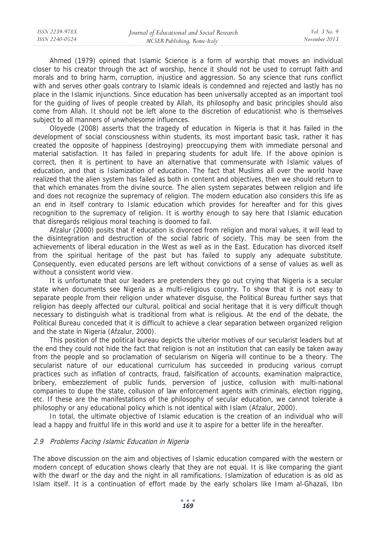Ahmed (1979) opined that Islamic Science is a form of worship that moves an individual closer to his creator through the act of worship, hence it should not be used to corrupt faith and morals and to bring harm, corruption, injustice and aggression. So any science that runs conflict with and serves other goals contrary to Islamic ideals is condemned and rejected and lastly has no place in the Islamic injunctions. Since education has been universally accepted as an important tool for the guiding of lives of people created by Allah, its philosophy and basic principles should also come from Allah. It should not be left alone to the discretion of educationist who is themselves subject to all manners of unwholesome influences.

Oloyede (2008) asserts that the tragedy of education in Nigeria is that it has failed in the development of social consciousness within students, its most important basic task, rather it has created the opposite of happiness (destroying) preoccupying them with immediate personal and material satisfaction. It has failed in preparing students for adult life. If the above opinion is correct, then it is pertinent to have an alternative that commensurate with Islamic values of education, and that is Islamization of education. The fact that Muslims all over the world have realized that the alien system has failed as both in content and objectives, then we should return to that which emanates from the divine source. The alien system separates between religion and life and does not recognize the supremacy of religion. The modern education also considers this life as an end in itself contrary to Islamic education which provides for hereafter and for this gives recognition to the supremacy of religion. It is worthy enough to say here that Islamic education that disregards religious moral teaching is doomed to fail.

Afzalur (2000) posits that if education is divorced from religion and moral values, it will lead to the disintegration and destruction of the social fabric of society. This may be seen from the achievements of liberal education in the West as well as in the East. Education has divorced itself from the spiritual heritage of the past but has failed to supply any adequate substitute. Consequently, even educated persons are left without convictions of a sense of values as well as without a consistent world view.

It is unfortunate that our leaders are pretenders they go out crying that Nigeria is a secular state when documents see Nigeria as a multi-religious country. To show that it is not easy to separate people from their religion under whatever disguise, the Political Bureau further says that religion has deeply affected our cultural, political and social heritage that it is very difficult though necessary to distinguish what is traditional from what is religious. At the end of the debate, the Political Bureau conceded that it is difficult to achieve a clear separation between organized religion and the state in Nigeria (Afzalur, 2000).

This position of the political bureau depicts the ulterior motives of our secularist leaders but at the end they could not hide the fact that religion is not an institution that can easily be taken away from the people and so proclamation of secularism on Nigeria will continue to be a theory. The secularist nature of our educational curriculum has succeeded in producing various corrupt practices such as inflation of contracts, fraud, falsification of accounts, examination malpractice, bribery, embezzlement of public funds, perversion of justice, collusion with multi-national companies to dupe the state, collusion of law enforcement agents with criminals, election rigging, etc. If these are the manifestations of the philosophy of secular education, we cannot tolerate a philosophy or any educational policy which is not identical with Islam (Afzalur, 2000).

In total, the ultimate objective of Islamic education is the creation of an individual who will lead a happy and fruitful life in this world and use it to aspire for a better life in the hereafter.

#### 2.9 Problems Facing Islamic Education in Nigeria

The above discussion on the aim and objectives of Islamic education compared with the western or modern concept of education shows clearly that they are not equal. It is like comparing the giant with the dwarf or the day and the night in all ramifications. Islamization of education is as old as Islam itself. It is a continuation of effort made by the early scholars like Imam al-Ghazali, Ibn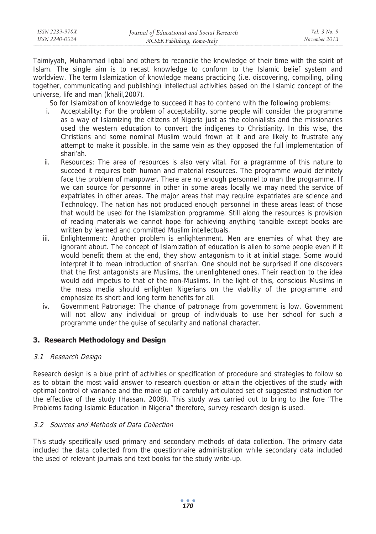Taimiyyah, Muhammad Iqbal and others to reconcile the knowledge of their time with the spirit of Islam. The single aim is to recast knowledge to conform to the Islamic belief system and worldview. The term Islamization of knowledge means practicing (i.e. discovering, compiling, piling together, communicating and publishing) intellectual activities based on the Islamic concept of the universe, life and man (khalil,2007).

So for Islamization of knowledge to succeed it has to contend with the following problems:

- i. Acceptability: For the problem of acceptability, some people will consider the programme as a way of Islamizing the citizens of Nigeria just as the colonialists and the missionaries used the western education to convert the indigenes to Christianity. In this wise, the Christians and some nominal Muslim would frown at it and are likely to frustrate any attempt to make it possible, in the same vein as they opposed the full implementation of shari'ah.
- ii. Resources: The area of resources is also very vital. For a pragramme of this nature to succeed it requires both human and material resources. The programme would definitely face the problem of manpower. There are no enough personnel to man the programme. If we can source for personnel in other in some areas locally we may need the service of expatriates in other areas. The major areas that may require expatriates are science and Technology. The nation has not produced enough personnel in these areas least of those that would be used for the Islamization programme. Still along the resources is provision of reading materials we cannot hope for achieving anything tangible except books are written by learned and committed Muslim intellectuals.
- iii. Enlightenment: Another problem is enlightenment. Men are enemies of what they are ignorant about. The concept of Islamization of education is alien to some people even if it would benefit them at the end, they show antagonism to it at initial stage. Some would interpret it to mean introduction of shari'ah. One should not be surprised if one discovers that the first antagonists are Muslims, the unenlightened ones. Their reaction to the idea would add impetus to that of the non-Muslims. In the light of this, conscious Muslims in the mass media should enlighten Nigerians on the viability of the programme and emphasize its short and long term benefits for all.
- iv. Government Patronage: The chance of patronage from government is low. Government will not allow any individual or group of individuals to use her school for such a programme under the guise of secularity and national character.

# **3. Research Methodology and Design**

#### 3.1 Research Design

Research design is a blue print of activities or specification of procedure and strategies to follow so as to obtain the most valid answer to research question or attain the objectives of the study with optimal control of variance and the make up of carefully articulated set of suggested instruction for the effective of the study (Hassan, 2008). This study was carried out to bring to the fore "The Problems facing Islamic Education in Nigeria" therefore, survey research design is used.

#### 3.2 Sources and Methods of Data Collection

This study specifically used primary and secondary methods of data collection. The primary data included the data collected from the questionnaire administration while secondary data included the used of relevant journals and text books for the study write-up.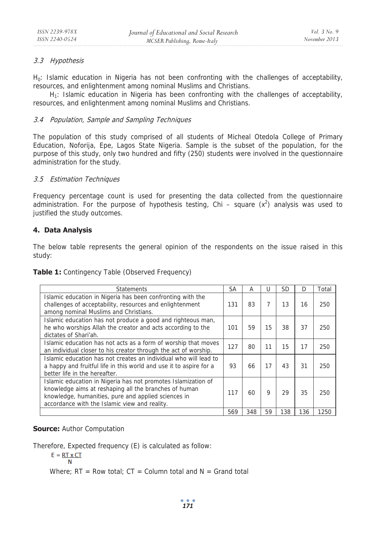### 3.3 Hypothesis

 $H_0$ : Islamic education in Nigeria has not been confronting with the challenges of acceptability, resources, and enlightenment among nominal Muslims and Christians.

 $H_1$ : Islamic education in Nigeria has been confronting with the challenges of acceptability, resources, and enlightenment among nominal Muslims and Christians.

### 3.4 Population, Sample and Sampling Techniques

The population of this study comprised of all students of Micheal Otedola College of Primary Education, Noforija, Epe, Lagos State Nigeria. Sample is the subset of the population, for the purpose of this study, only two hundred and fifty (250) students were involved in the questionnaire administration for the study.

#### 3.5 Estimation Techniques

Frequency percentage count is used for presenting the data collected from the questionnaire administration. For the purpose of hypothesis testing, Chi – square  $(x^2)$  analysis was used to justified the study outcomes.

## **4. Data Analysis**

The below table represents the general opinion of the respondents on the issue raised in this study:

|  | Table 1: Contingency Table (Observed Frequency) |  |  |  |
|--|-------------------------------------------------|--|--|--|
|--|-------------------------------------------------|--|--|--|

| <b>Statements</b>                                                                                                                                                                                                              | SА  | А   | U  | SD  | D   | Total |
|--------------------------------------------------------------------------------------------------------------------------------------------------------------------------------------------------------------------------------|-----|-----|----|-----|-----|-------|
| Islamic education in Nigeria has been confronting with the<br>challenges of acceptability, resources and enlightenment<br>among nominal Muslims and Christians.                                                                | 131 | 83  | 7  | 13  | 16  | 250   |
| Islamic education has not produce a good and righteous man,<br>he who worships Allah the creator and acts according to the<br>dictates of Shari'ah.                                                                            | 101 | 59  | 15 | 38  | 37  | 250   |
| Islamic education has not acts as a form of worship that moves<br>an individual closer to his creator through the act of worship.                                                                                              | 127 | 80  | 11 | 15  | 17  | 250   |
| Islamic education has not creates an individual who will lead to<br>a happy and fruitful life in this world and use it to aspire for a<br>better life in the hereafter.                                                        | 93  | 66  | 17 | 43  | 31  | 250   |
| Islamic education in Nigeria has not promotes Islamization of<br>knowledge aims at reshaping all the branches of human<br>knowledge, humanities, pure and applied sciences in<br>accordance with the Islamic view and reality. | 117 | 60  | 9  | 29  | 35  | 250   |
|                                                                                                                                                                                                                                | 569 | 348 | 59 | 138 | 136 | 1250  |

#### **Source:** Author Computation

Therefore, Expected frequency (E) is calculated as follow:

$$
E = \underbrace{RT \times CT}_{\cdots}
$$

Where;  $RT = Row total$ ;  $CT = Column total$  and  $N = Grand total$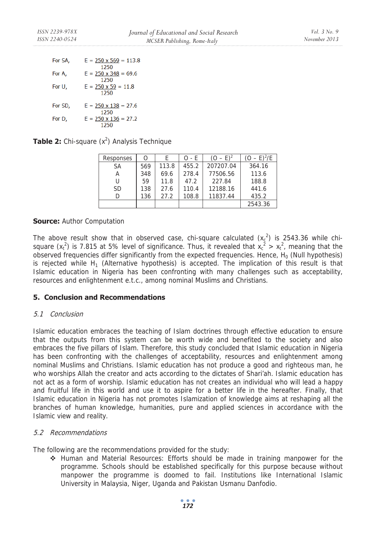| For SA, | $E = 250 \times 569 = 113.8$<br>1250 |
|---------|--------------------------------------|
| For A,  | $E = 250 \times 348 = 69.6$<br>1250  |
| For U.  | $E = 250 \times 59 = 11.8$<br>1250   |
| For SD, | $E = 250 \times 138 = 27.6$<br>1250  |
| For D.  | $E = 250 \times 136 = 27.2$<br>1250  |

**Table 2:** Chi-square (x<sup>2</sup>) Analysis Technique

| Responses | Ο   |       | 0 - E | $F$ <sup>2</sup> | $- E)^{2}/E$ |  |
|-----------|-----|-------|-------|------------------|--------------|--|
| SА        | 569 | 113.8 | 455.2 | 207207.04        | 364.16       |  |
| А         | 348 | 69.6  | 278.4 | 77506.56         | 113.6        |  |
| U         | 59  | 11.8  | 47.2  | 227.84           | 188.8        |  |
| <b>SD</b> | 138 | 27.6  | 110.4 | 12188.16         | 441.6        |  |
| D         | 136 | 27.2  | 108.8 | 11837.44         | 435.2        |  |
|           |     |       |       |                  | 2543.36      |  |

## **Source:** Author Computation

The above result show that in observed case, chi-square calculated  $(x_c^2)$  is 2543.36 while chisquare  $(x_t^2)$  is 7.815 at 5% level of significance. Thus, it revealed that  $x_c^2 > x_t^2$ , meaning that the observed frequencies differ significantly from the expected frequencies. Hence,  $H_0$  (Null hypothesis) is rejected while  $H_1$  (Alternative hypothesis) is accepted. The implication of this result is that Islamic education in Nigeria has been confronting with many challenges such as acceptability, resources and enlightenment e.t.c., among nominal Muslims and Christians.

# **5. Conclusion and Recommendations**

#### 5.1 Conclusion

Islamic education embraces the teaching of Islam doctrines through effective education to ensure that the outputs from this system can be worth wide and benefited to the society and also embraces the five pillars of Islam. Therefore, this study concluded that Islamic education in Nigeria has been confronting with the challenges of acceptability, resources and enlightenment among nominal Muslims and Christians. Islamic education has not produce a good and righteous man, he who worships Allah the creator and acts according to the dictates of Shari'ah. Islamic education has not act as a form of worship. Islamic education has not creates an individual who will lead a happy and fruitful life in this world and use it to aspire for a better life in the hereafter. Finally, that Islamic education in Nigeria has not promotes Islamization of knowledge aims at reshaping all the branches of human knowledge, humanities, pure and applied sciences in accordance with the Islamic view and reality.

# 5.2 Recommendations

The following are the recommendations provided for the study:

 Human and Material Resources: Efforts should be made in training manpower for the programme. Schools should be established specifically for this purpose because without manpower the programme is doomed to fail. Institutions like International Islamic University in Malaysia, Niger, Uganda and Pakistan Usmanu Danfodio.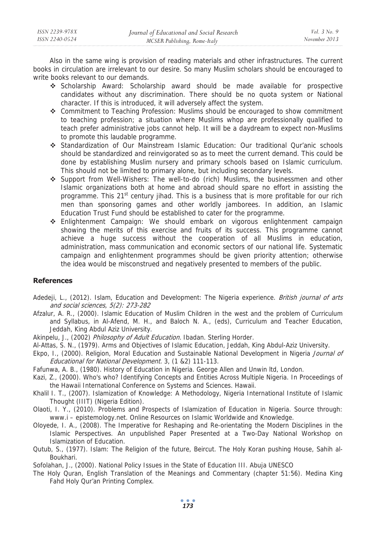Also in the same wing is provision of reading materials and other infrastructures. The current books in circulation are irrelevant to our desire. So many Muslim scholars should be encouraged to write books relevant to our demands.

- Scholarship Award: Scholarship award should be made available for prospective candidates without any discrimination. There should be no quota system or National character. If this is introduced, it will adversely affect the system.
- Commitment to Teaching Profession: Muslims should be encouraged to show commitment to teaching profession; a situation where Muslims whop are professionally qualified to teach prefer administrative jobs cannot help. It will be a daydream to expect non-Muslims to promote this laudable programme.
- Standardization of Our Mainstream Islamic Education: Our traditional Qur'anic schools should be standardized and reinvigorated so as to meet the current demand. This could be done by establishing Muslim nursery and primary schools based on Islamic curriculum. This should not be limited to primary alone, but including secondary levels.
- ❖ Support from Well-Wishers: The well-to-do (rich) Muslims, the businessmen and other Islamic organizations both at home and abroad should spare no effort in assisting the programme. This  $21<sup>st</sup>$  century jihad. This is a business that is more profitable for our rich men than sponsoring games and other worldly jamborees. In addition, an Islamic Education Trust Fund should be established to cater for the programme.
- Enlightenment Campaign: We should embark on vigorous enlightenment campaign showing the merits of this exercise and fruits of its success. This programme cannot achieve a huge success without the cooperation of all Muslims in education, administration, mass communication and economic sectors of our national life. Systematic campaign and enlightenment programmes should be given priority attention; otherwise the idea would be misconstrued and negatively presented to members of the public.

### **References**

- Adedeji, L., (2012). Islam, Education and Development: The Nigeria experience. British journal of arts and social sciences, 5(2): 273-282
- Afzalur, A. R., (2000). Islamic Education of Muslim Children in the west and the problem of Curriculum and Syllabus, in Al-Afend, M. H., and Baloch N. A., (eds), Curriculum and Teacher Education, Jeddah, King Abdul Aziz University.
- Akinpelu, J., (2002) Philosophy of Adult Education. Ibadan. Sterling Horder.
- Al-Attas, S. N., (1979). Arms and Objectives of Islamic Education, Jeddah, King Abdul-Aziz University.
- Ekpo, I., (2000). Religion, Moral Education and Sustainable National Development in Nigeria Journal of Educational for National Development. 3, (1 &2) 111-113.
- Fafunwa, A. B., (1980). History of Education in Nigeria. George Allen and Unwin ltd, London.
- Kazi, Z., (2000). Who's who? Identifying Concepts and Entities Across Multiple Nigeria. In Proceedings of the Hawaii International Conference on Systems and Sciences. Hawaii.
- Khalil I. T., (2007). Islamization of Knowledge: A Methodology, Nigeria International Institute of Islamic Thought (IIIT) (Nigeria Edition).
- Olaoti, I. Y., (2010). Problems and Prospects of Islamization of Education in Nigeria. Source through: www.i – epistemology.net. Online Resources on Islamic Worldwide and Knowledge.
- Oloyede, I. A., (2008). The Imperative for Reshaping and Re-orientating the Modern Disciplines in the Islamic Perspectives. An unpublished Paper Presented at a Two-Day National Workshop on Islamization of Education.
- Qutub, S., (1977). Islam: The Religion of the future, Beircut. The Holy Koran pushing House, Sahih al-Boukhari.

Sofolahan, J., (2000). National Policy Issues in the State of Education III. Abuja UNESCO

The Holy Quran, English Translation of the Meanings and Commentary (chapter 51:56). Medina King Fahd Holy Qur'an Printing Complex.